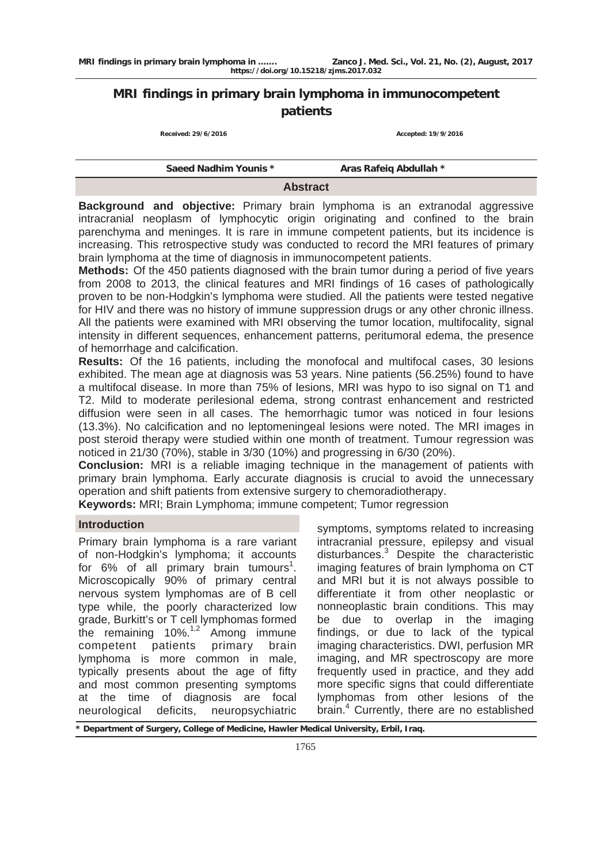# **MRI findings in primary brain lymphoma in immunocompetent patients**

 **Received: 29/6/2016 Accepted: 19/9/2016**

| Saeed Nadhim Younis * | Aras Rafeig Abdullah * |
|-----------------------|------------------------|
|                       | <b>Abstract</b>        |

**Background and objective:** Primary brain lymphoma is an extranodal aggressive intracranial neoplasm of lymphocytic origin originating and confined to the brain parenchyma and meninges. It is rare in immune competent patients, but its incidence is increasing. This retrospective study was conducted to record the MRI features of primary brain lymphoma at the time of diagnosis in immunocompetent patients.

**Methods:** Of the 450 patients diagnosed with the brain tumor during a period of five years from 2008 to 2013, the clinical features and MRI findings of 16 cases of pathologically proven to be non-Hodgkin's lymphoma were studied. All the patients were tested negative for HIV and there was no history of immune suppression drugs or any other chronic illness. All the patients were examined with MRI observing the tumor location, multifocality, signal intensity in different sequences, enhancement patterns, peritumoral edema, the presence of hemorrhage and calcification.

**Results:** Of the 16 patients, including the monofocal and multifocal cases, 30 lesions exhibited. The mean age at diagnosis was 53 years. Nine patients (56.25%) found to have a multifocal disease. In more than 75% of lesions, MRI was hypo to iso signal on T1 and T2. Mild to moderate perilesional edema, strong contrast enhancement and restricted diffusion were seen in all cases. The hemorrhagic tumor was noticed in four lesions (13.3%). No calcification and no leptomeningeal lesions were noted. The MRI images in post steroid therapy were studied within one month of treatment. Tumour regression was noticed in 21/30 (70%), stable in 3/30 (10%) and progressing in 6/30 (20%).

**Conclusion:** MRI is a reliable imaging technique in the management of patients with primary brain lymphoma. Early accurate diagnosis is crucial to avoid the unnecessary operation and shift patients from extensive surgery to chemoradiotherapy.

**Keywords:** MRI; Brain Lymphoma; immune competent; Tumor regression

## **Introduction**

Primary brain lymphoma is a rare variant of non-Hodgkin's lymphoma; it accounts for  $6\%$  of all primary brain tumours<sup>1</sup>. Microscopically 90% of primary central nervous system lymphomas are of B cell type while, the poorly characterized low grade, Burkitt's or T cell lymphomas formed the remaining 10%.<sup>1,2</sup> Among immune<br>competent patients primary brain competent patients primary brain lymphoma is more common in male, typically presents about the age of fifty and most common presenting symptoms at the time of diagnosis are focal neurological deficits, neuropsychiatric

symptoms, symptoms related to increasing intracranial pressure, epilepsy and visual disturbances.<sup>3</sup> Despite the characteristic imaging features of brain lymphoma on CT and MRI but it is not always possible to differentiate it from other neoplastic or nonneoplastic brain conditions. This may be due to overlap in the imaging findings, or due to lack of the typical imaging characteristics. DWI, perfusion MR imaging, and MR spectroscopy are more frequently used in practice, and they add more specific signs that could differentiate lymphomas from other lesions of the brain.<sup>4</sup> Currently, there are no established

**\* Department of Surgery, College of Medicine, Hawler Medical University, Erbil, Iraq.**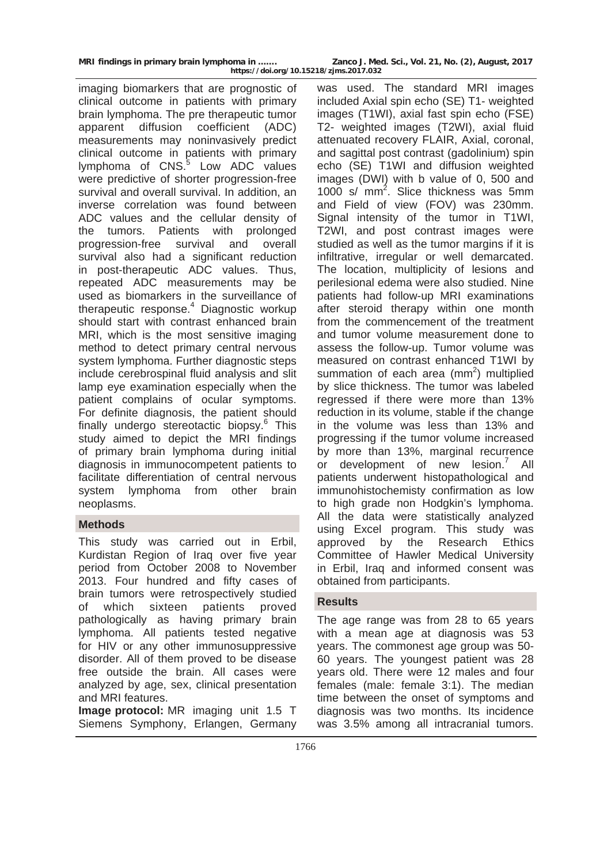| MRI findings in primary brain lymphoma in | Zanco J. Med. Sci., Vol. 21, No. (2), August, 2017 |  |
|-------------------------------------------|----------------------------------------------------|--|
| https://doi.org/10.15218/zjms.2017.032    |                                                    |  |

imaging biomarkers that are prognostic of clinical outcome in patients with primary brain lymphoma. The pre therapeutic tumor apparent diffusion coefficient (ADC) measurements may noninvasively predict clinical outcome in patients with primary lymphoma of CNS.<sup>5</sup> Low ADC values were predictive of shorter progression-free survival and overall survival. In addition, an inverse correlation was found between ADC values and the cellular density of the tumors. Patients with prolonged progression-free survival and overall survival also had a significant reduction in post-therapeutic ADC values. Thus, repeated ADC measurements may be used as biomarkers in the surveillance of therapeutic response.<sup>4</sup> Diagnostic workup should start with contrast enhanced brain MRI, which is the most sensitive imaging method to detect primary central nervous system lymphoma. Further diagnostic steps include cerebrospinal fluid analysis and slit lamp eye examination especially when the patient complains of ocular symptoms. For definite diagnosis, the patient should finally undergo stereotactic biopsy.<sup>6</sup> This study aimed to depict the MRI findings of primary brain lymphoma during initial diagnosis in immunocompetent patients to facilitate differentiation of central nervous system lymphoma from other brain neoplasms.

## **Methods**

This study was carried out in Erbil, Kurdistan Region of Iraq over five year period from October 2008 to November 2013. Four hundred and fifty cases of brain tumors were retrospectively studied of which sixteen patients proved pathologically as having primary brain lymphoma. All patients tested negative for HIV or any other immunosuppressive disorder. All of them proved to be disease free outside the brain. All cases were analyzed by age, sex, clinical presentation and MRI features.

**Image protocol:** MR imaging unit 1.5 T Siemens Symphony, Erlangen, Germany

was used. The standard MRI images included Axial spin echo (SE) T1- weighted images (T1WI), axial fast spin echo (FSE) T2- weighted images (T2WI), axial fluid attenuated recovery FLAIR, Axial, coronal, and sagittal post contrast (gadolinium) spin echo (SE) T1WI and diffusion weighted images (DWI) with b value of 0, 500 and 1000 s/ mm<sup>2</sup>. Slice thickness was 5mm and Field of view (FOV) was 230mm. Signal intensity of the tumor in T1WI, T2WI, and post contrast images were studied as well as the tumor margins if it is infiltrative, irregular or well demarcated. The location, multiplicity of lesions and perilesional edema were also studied. Nine patients had follow-up MRI examinations after steroid therapy within one month from the commencement of the treatment and tumor volume measurement done to assess the follow-up. Tumor volume was measured on contrast enhanced T1WI by summation of each area  $(mm^2)$  multiplied by slice thickness. The tumor was labeled regressed if there were more than 13% reduction in its volume, stable if the change in the volume was less than 13% and progressing if the tumor volume increased by more than 13%, marginal recurrence or development of new lesion.<sup>7</sup> All patients underwent histopathological and immunohistochemisty confirmation as low to high grade non Hodgkin's lymphoma. All the data were statistically analyzed using Excel program. This study was approved by the Research Ethics Committee of Hawler Medical University in Erbil, Iraq and informed consent was obtained from participants.

## **Results**

The age range was from 28 to 65 years with a mean age at diagnosis was 53 years. The commonest age group was 50- 60 years. The youngest patient was 28 years old. There were 12 males and four females (male: female 3:1). The median time between the onset of symptoms and diagnosis was two months. Its incidence was 3.5% among all intracranial tumors.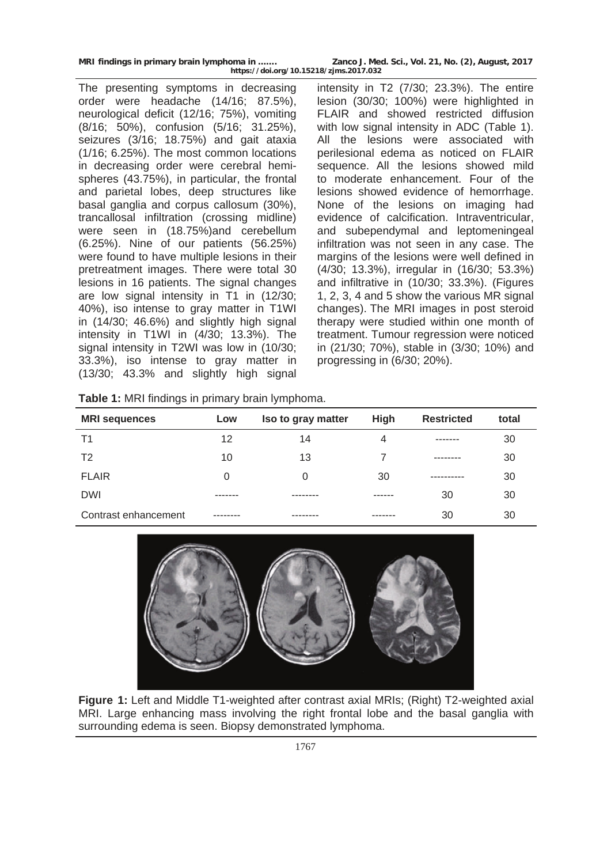| MRI findings in primary brain lymphoma in | Zanco J. Med. Sci., Vol. 21, No. (2), August, 2017 |
|-------------------------------------------|----------------------------------------------------|
| https://doi.org/10.15218/zjms.2017.032    |                                                    |

The presenting symptoms in decreasing order were headache (14/16; 87.5%), neurological deficit (12/16; 75%), vomiting (8/16; 50%), confusion (5/16; 31.25%), seizures (3/16; 18.75%) and gait ataxia (1/16; 6.25%). The most common locations in decreasing order were cerebral hemispheres (43.75%), in particular, the frontal and parietal lobes, deep structures like basal ganglia and corpus callosum (30%), trancallosal infiltration (crossing midline) were seen in (18.75%)and cerebellum (6.25%). Nine of our patients (56.25%) were found to have multiple lesions in their pretreatment images. There were total 30 lesions in 16 patients. The signal changes are low signal intensity in T1 in (12/30; 40%), iso intense to gray matter in T1WI in (14/30; 46.6%) and slightly high signal intensity in T1WI in (4/30; 13.3%). The signal intensity in T2WI was low in (10/30; 33.3%), iso intense to gray matter in (13/30; 43.3% and slightly high signal

intensity in T2 (7/30; 23.3%). The entire lesion (30/30; 100%) were highlighted in FLAIR and showed restricted diffusion with low signal intensity in ADC (Table 1). All the lesions were associated with perilesional edema as noticed on FLAIR sequence. All the lesions showed mild to moderate enhancement. Four of the lesions showed evidence of hemorrhage. None of the lesions on imaging had evidence of calcification. Intraventricular, and subependymal and leptomeningeal infiltration was not seen in any case. The margins of the lesions were well defined in (4/30; 13.3%), irregular in (16/30; 53.3%) and infiltrative in (10/30; 33.3%). (Figures 1, 2, 3, 4 and 5 show the various MR signal changes). The MRI images in post steroid therapy were studied within one month of treatment. Tumour regression were noticed in (21/30; 70%), stable in (3/30; 10%) and progressing in (6/30; 20%).

| Table 1: MRI findings in primary brain lymphoma. |  |  |  |  |
|--------------------------------------------------|--|--|--|--|
|--------------------------------------------------|--|--|--|--|

| <b>MRI</b> sequences | Low      | Iso to gray matter | <b>High</b> | <b>Restricted</b> | total |
|----------------------|----------|--------------------|-------------|-------------------|-------|
| Τ1                   | 12       | 14                 | 4           | -------           | 30    |
| T <sub>2</sub>       | 10       | 13                 |             | --------          | 30    |
| <b>FLAIR</b>         | 0        | 0                  | 30          | ----------        | 30    |
| <b>DWI</b>           |          |                    | ------      | 30                | 30    |
| Contrast enhancement | -------- |                    | -------     | 30                | 30    |



**Figure 1:** Left and Middle T1-weighted after contrast axial MRIs; (Right) T2-weighted axial MRI. Large enhancing mass involving the right frontal lobe and the basal ganglia with surrounding edema is seen. Biopsy demonstrated lymphoma.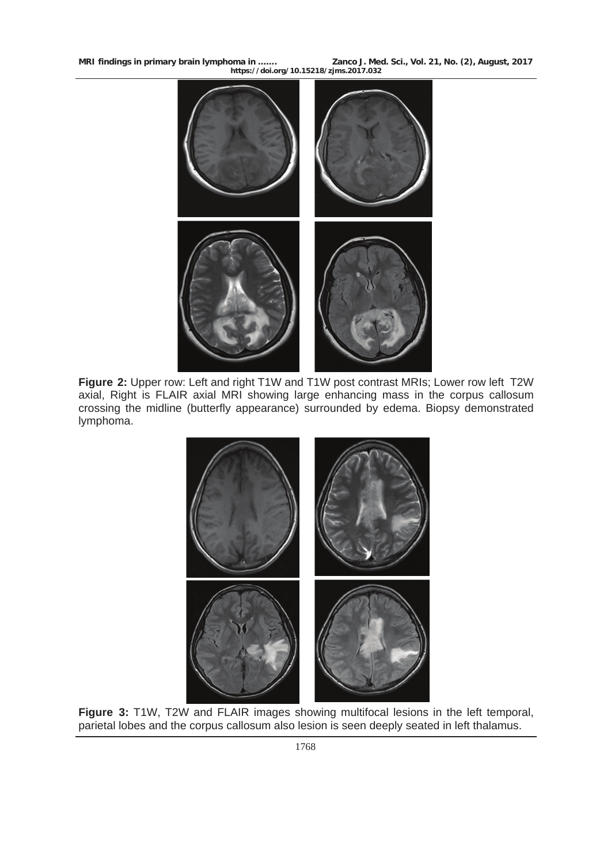**MRI findings in primary brain lymphoma in ……. Zanco J. Med. Sci., Vol. 21, No. (2), August, 2017 https://doi.org/10.15218/zjms.2017.032**



**Figure 2:** Upper row: Left and right T1W and T1W post contrast MRIs; Lower row left T2W axial, Right is FLAIR axial MRI showing large enhancing mass in the corpus callosum crossing the midline (butterfly appearance) surrounded by edema. Biopsy demonstrated lymphoma.



**Figure 3:** T1W, T2W and FLAIR images showing multifocal lesions in the left temporal, parietal lobes and the corpus callosum also lesion is seen deeply seated in left thalamus.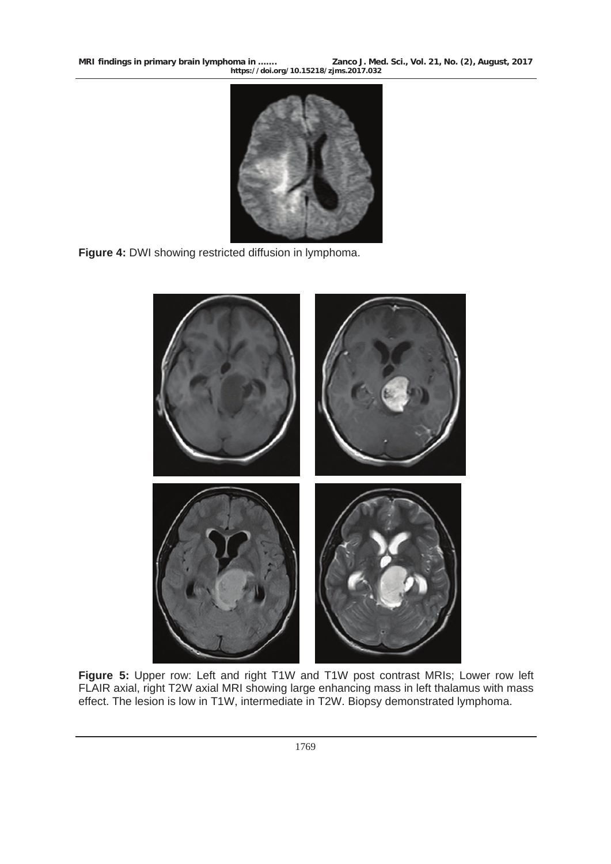



**Figure 4:** DWI showing restricted diffusion in lymphoma.



**Figure 5:** Upper row: Left and right T1W and T1W post contrast MRIs; Lower row left FLAIR axial, right T2W axial MRI showing large enhancing mass in left thalamus with mass effect. The lesion is low in T1W, intermediate in T2W. Biopsy demonstrated lymphoma.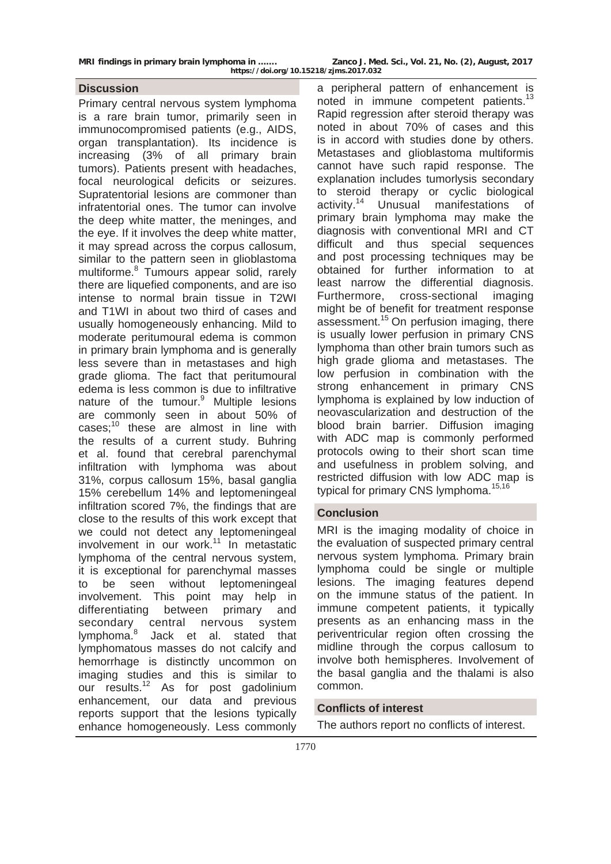Primary central nervous system lymphoma is a rare brain tumor, primarily seen in immunocompromised patients (e.g., AIDS, organ transplantation). Its incidence is increasing (3% of all primary brain tumors). Patients present with headaches, focal neurological deficits or seizures. Supratentorial lesions are commoner than infratentorial ones. The tumor can involve the deep white matter, the meninges, and the eye. If it involves the deep white matter, it may spread across the corpus callosum, similar to the pattern seen in glioblastoma multiforme.<sup>8</sup> Tumours appear solid, rarely there are liquefied components, and are iso intense to normal brain tissue in T2WI and T1WI in about two third of cases and usually homogeneously enhancing. Mild to moderate peritumoural edema is common in primary brain lymphoma and is generally less severe than in metastases and high grade glioma. The fact that peritumoural edema is less common is due to infiltrative nature of the tumour.<sup>9</sup> Multiple lesions are commonly seen in about 50% of cases; $10$  these are almost in line with the results of a current study. Buhring et al. found that cerebral parenchymal infiltration with lymphoma was about 31%, corpus callosum 15%, basal ganglia 15% cerebellum 14% and leptomeningeal infiltration scored 7%, the findings that are close to the results of this work except that we could not detect any leptomeningeal involvement in our work.11 In metastatic lymphoma of the central nervous system, it is exceptional for parenchymal masses to be seen without leptomeningeal involvement. This point may help in differentiating between primary and secondary central nervous system lymphoma.<sup>8</sup> Jack et al. stated that lymphomatous masses do not calcify and hemorrhage is distinctly uncommon on imaging studies and this is similar to our results.<sup>12</sup> As for post gadolinium enhancement, our data and previous reports support that the lesions typically enhance homogeneously. Less commonly

**Discussion** a peripheral pattern of enhancement is noted in immune competent patients.<sup>13</sup> Rapid regression after steroid therapy was noted in about 70% of cases and this is in accord with studies done by others. Metastases and glioblastoma multiformis cannot have such rapid response. The explanation includes tumorlysis secondary to steroid therapy or cyclic biological activity.<sup>14</sup> Unusual manifestations of primary brain lymphoma may make the diagnosis with conventional MRI and CT difficult and thus special sequences and post processing techniques may be obtained for further information to at least narrow the differential diagnosis. Furthermore, cross-sectional imaging might be of benefit for treatment response assessment.<sup>15</sup> On perfusion imaging, there is usually lower perfusion in primary CNS lymphoma than other brain tumors such as high grade glioma and metastases. The low perfusion in combination with the strong enhancement in primary CNS lymphoma is explained by low induction of neovascularization and destruction of the blood brain barrier. Diffusion imaging with ADC map is commonly performed protocols owing to their short scan time and usefulness in problem solving, and restricted diffusion with low ADC map is typical for primary CNS lymphoma.<sup>15,16</sup>

## **Conclusion**

MRI is the imaging modality of choice in the evaluation of suspected primary central nervous system lymphoma. Primary brain lymphoma could be single or multiple lesions. The imaging features depend on the immune status of the patient. In immune competent patients, it typically presents as an enhancing mass in the periventricular region often crossing the midline through the corpus callosum to involve both hemispheres. Involvement of the basal ganglia and the thalami is also common.

## **Conflicts of interest**

The authors report no conflicts of interest.